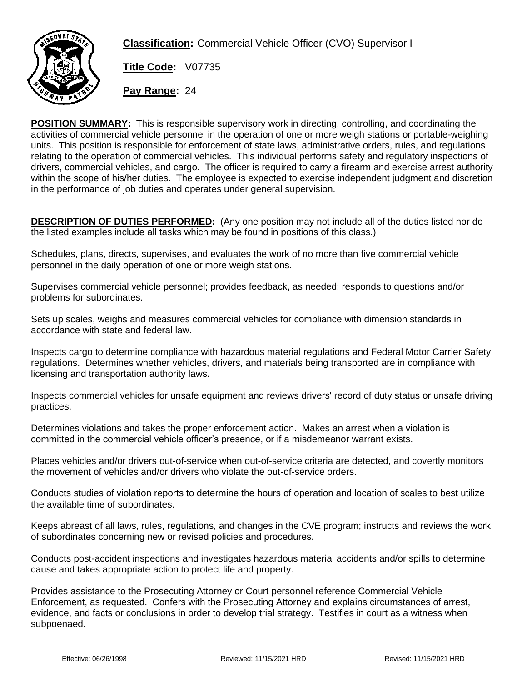

**Classification:** Commercial Vehicle Officer (CVO) Supervisor I

**Title Code:** V07735

**Pay Range:** 24

**POSITION SUMMARY:** This is responsible supervisory work in directing, controlling, and coordinating the activities of commercial vehicle personnel in the operation of one or more weigh stations or portable-weighing units. This position is responsible for enforcement of state laws, administrative orders, rules, and regulations relating to the operation of commercial vehicles. This individual performs safety and regulatory inspections of drivers, commercial vehicles, and cargo. The officer is required to carry a firearm and exercise arrest authority within the scope of his/her duties. The employee is expected to exercise independent judgment and discretion in the performance of job duties and operates under general supervision.

**DESCRIPTION OF DUTIES PERFORMED:** (Any one position may not include all of the duties listed nor do the listed examples include all tasks which may be found in positions of this class.)

Schedules, plans, directs, supervises, and evaluates the work of no more than five commercial vehicle personnel in the daily operation of one or more weigh stations.

Supervises commercial vehicle personnel; provides feedback, as needed; responds to questions and/or problems for subordinates.

Sets up scales, weighs and measures commercial vehicles for compliance with dimension standards in accordance with state and federal law.

Inspects cargo to determine compliance with hazardous material regulations and Federal Motor Carrier Safety regulations. Determines whether vehicles, drivers, and materials being transported are in compliance with licensing and transportation authority laws.

Inspects commercial vehicles for unsafe equipment and reviews drivers' record of duty status or unsafe driving practices.

Determines violations and takes the proper enforcement action. Makes an arrest when a violation is committed in the commercial vehicle officer's presence, or if a misdemeanor warrant exists.

Places vehicles and/or drivers out-of-service when out-of-service criteria are detected, and covertly monitors the movement of vehicles and/or drivers who violate the out-of-service orders.

Conducts studies of violation reports to determine the hours of operation and location of scales to best utilize the available time of subordinates.

Keeps abreast of all laws, rules, regulations, and changes in the CVE program; instructs and reviews the work of subordinates concerning new or revised policies and procedures.

Conducts post-accident inspections and investigates hazardous material accidents and/or spills to determine cause and takes appropriate action to protect life and property.

Provides assistance to the Prosecuting Attorney or Court personnel reference Commercial Vehicle Enforcement, as requested. Confers with the Prosecuting Attorney and explains circumstances of arrest, evidence, and facts or conclusions in order to develop trial strategy. Testifies in court as a witness when subpoenaed.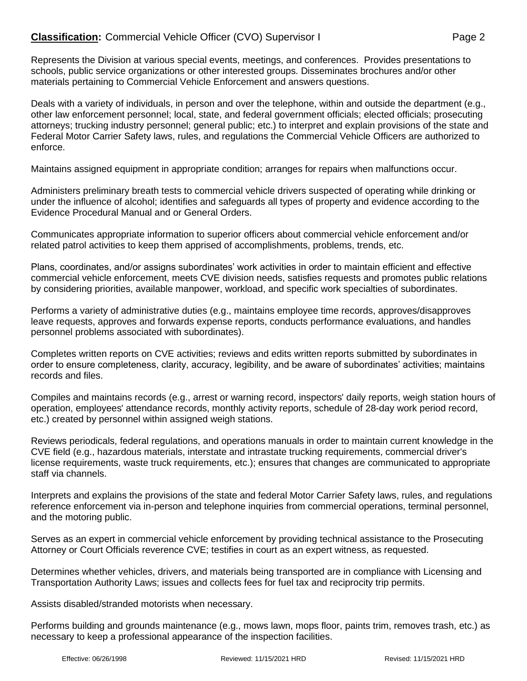Represents the Division at various special events, meetings, and conferences. Provides presentations to schools, public service organizations or other interested groups. Disseminates brochures and/or other materials pertaining to Commercial Vehicle Enforcement and answers questions.

Deals with a variety of individuals, in person and over the telephone, within and outside the department (e.g., other law enforcement personnel; local, state, and federal government officials; elected officials; prosecuting attorneys; trucking industry personnel; general public; etc.) to interpret and explain provisions of the state and Federal Motor Carrier Safety laws, rules, and regulations the Commercial Vehicle Officers are authorized to enforce.

Maintains assigned equipment in appropriate condition; arranges for repairs when malfunctions occur.

Administers preliminary breath tests to commercial vehicle drivers suspected of operating while drinking or under the influence of alcohol; identifies and safeguards all types of property and evidence according to the Evidence Procedural Manual and or General Orders.

Communicates appropriate information to superior officers about commercial vehicle enforcement and/or related patrol activities to keep them apprised of accomplishments, problems, trends, etc.

Plans, coordinates, and/or assigns subordinates' work activities in order to maintain efficient and effective commercial vehicle enforcement, meets CVE division needs, satisfies requests and promotes public relations by considering priorities, available manpower, workload, and specific work specialties of subordinates.

Performs a variety of administrative duties (e.g., maintains employee time records, approves/disapproves leave requests, approves and forwards expense reports, conducts performance evaluations, and handles personnel problems associated with subordinates).

Completes written reports on CVE activities; reviews and edits written reports submitted by subordinates in order to ensure completeness, clarity, accuracy, legibility, and be aware of subordinates' activities; maintains records and files.

Compiles and maintains records (e.g., arrest or warning record, inspectors' daily reports, weigh station hours of operation, employees' attendance records, monthly activity reports, schedule of 28-day work period record, etc.) created by personnel within assigned weigh stations.

Reviews periodicals, federal regulations, and operations manuals in order to maintain current knowledge in the CVE field (e.g., hazardous materials, interstate and intrastate trucking requirements, commercial driver's license requirements, waste truck requirements, etc.); ensures that changes are communicated to appropriate staff via channels.

Interprets and explains the provisions of the state and federal Motor Carrier Safety laws, rules, and regulations reference enforcement via in-person and telephone inquiries from commercial operations, terminal personnel, and the motoring public.

Serves as an expert in commercial vehicle enforcement by providing technical assistance to the Prosecuting Attorney or Court Officials reverence CVE; testifies in court as an expert witness, as requested.

Determines whether vehicles, drivers, and materials being transported are in compliance with Licensing and Transportation Authority Laws; issues and collects fees for fuel tax and reciprocity trip permits.

Assists disabled/stranded motorists when necessary.

Performs building and grounds maintenance (e.g., mows lawn, mops floor, paints trim, removes trash, etc.) as necessary to keep a professional appearance of the inspection facilities.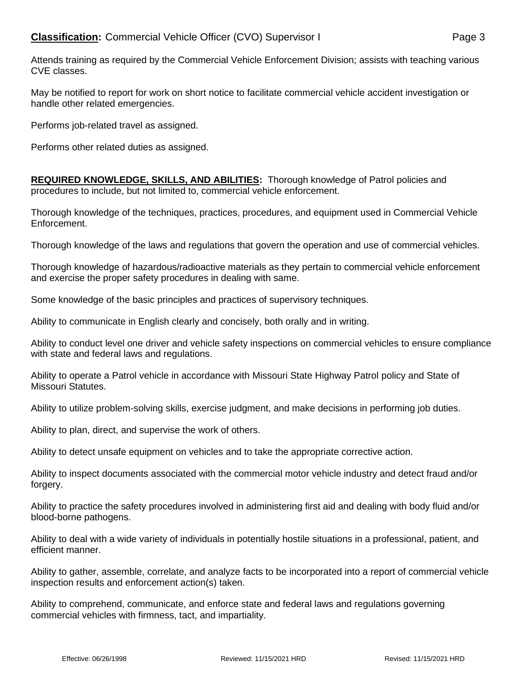Attends training as required by the Commercial Vehicle Enforcement Division; assists with teaching various CVE classes.

May be notified to report for work on short notice to facilitate commercial vehicle accident investigation or handle other related emergencies.

Performs job-related travel as assigned.

Performs other related duties as assigned.

**REQUIRED KNOWLEDGE, SKILLS, AND ABILITIES:** Thorough knowledge of Patrol policies and procedures to include, but not limited to, commercial vehicle enforcement.

Thorough knowledge of the techniques, practices, procedures, and equipment used in Commercial Vehicle Enforcement.

Thorough knowledge of the laws and regulations that govern the operation and use of commercial vehicles.

Thorough knowledge of hazardous/radioactive materials as they pertain to commercial vehicle enforcement and exercise the proper safety procedures in dealing with same.

Some knowledge of the basic principles and practices of supervisory techniques.

Ability to communicate in English clearly and concisely, both orally and in writing.

Ability to conduct level one driver and vehicle safety inspections on commercial vehicles to ensure compliance with state and federal laws and regulations.

Ability to operate a Patrol vehicle in accordance with Missouri State Highway Patrol policy and State of Missouri Statutes.

Ability to utilize problem-solving skills, exercise judgment, and make decisions in performing job duties.

Ability to plan, direct, and supervise the work of others.

Ability to detect unsafe equipment on vehicles and to take the appropriate corrective action.

Ability to inspect documents associated with the commercial motor vehicle industry and detect fraud and/or forgery.

Ability to practice the safety procedures involved in administering first aid and dealing with body fluid and/or blood-borne pathogens.

Ability to deal with a wide variety of individuals in potentially hostile situations in a professional, patient, and efficient manner.

Ability to gather, assemble, correlate, and analyze facts to be incorporated into a report of commercial vehicle inspection results and enforcement action(s) taken.

Ability to comprehend, communicate, and enforce state and federal laws and regulations governing commercial vehicles with firmness, tact, and impartiality.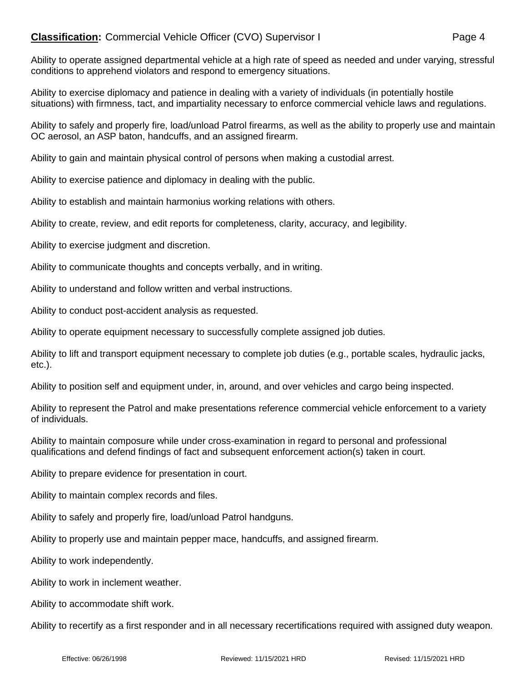## **Classification:** Commercial Vehicle Officer (CVO) Supervisor I Page 4

Ability to operate assigned departmental vehicle at a high rate of speed as needed and under varying, stressful conditions to apprehend violators and respond to emergency situations.

Ability to exercise diplomacy and patience in dealing with a variety of individuals (in potentially hostile situations) with firmness, tact, and impartiality necessary to enforce commercial vehicle laws and regulations.

Ability to safely and properly fire, load/unload Patrol firearms, as well as the ability to properly use and maintain OC aerosol, an ASP baton, handcuffs, and an assigned firearm.

Ability to gain and maintain physical control of persons when making a custodial arrest.

Ability to exercise patience and diplomacy in dealing with the public.

Ability to establish and maintain harmonius working relations with others.

Ability to create, review, and edit reports for completeness, clarity, accuracy, and legibility.

Ability to exercise judgment and discretion.

Ability to communicate thoughts and concepts verbally, and in writing.

Ability to understand and follow written and verbal instructions.

Ability to conduct post-accident analysis as requested.

Ability to operate equipment necessary to successfully complete assigned job duties.

Ability to lift and transport equipment necessary to complete job duties (e.g., portable scales, hydraulic jacks, etc.).

Ability to position self and equipment under, in, around, and over vehicles and cargo being inspected.

Ability to represent the Patrol and make presentations reference commercial vehicle enforcement to a variety of individuals.

Ability to maintain composure while under cross-examination in regard to personal and professional qualifications and defend findings of fact and subsequent enforcement action(s) taken in court.

Ability to prepare evidence for presentation in court.

Ability to maintain complex records and files.

Ability to safely and properly fire, load/unload Patrol handguns.

Ability to properly use and maintain pepper mace, handcuffs, and assigned firearm.

Ability to work independently.

Ability to work in inclement weather.

Ability to accommodate shift work.

Ability to recertify as a first responder and in all necessary recertifications required with assigned duty weapon.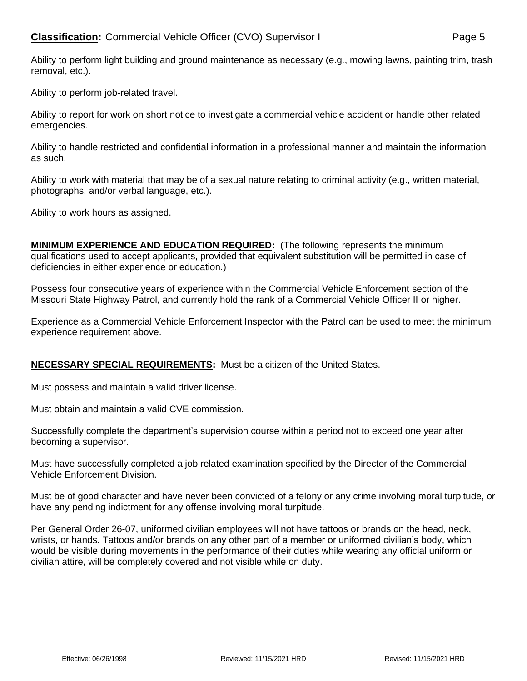Ability to perform job-related travel.

Ability to report for work on short notice to investigate a commercial vehicle accident or handle other related emergencies.

Ability to handle restricted and confidential information in a professional manner and maintain the information as such.

Ability to work with material that may be of a sexual nature relating to criminal activity (e.g., written material, photographs, and/or verbal language, etc.).

Ability to work hours as assigned.

**MINIMUM EXPERIENCE AND EDUCATION REQUIRED:** (The following represents the minimum qualifications used to accept applicants, provided that equivalent substitution will be permitted in case of deficiencies in either experience or education.)

Possess four consecutive years of experience within the Commercial Vehicle Enforcement section of the Missouri State Highway Patrol, and currently hold the rank of a Commercial Vehicle Officer II or higher.

Experience as a Commercial Vehicle Enforcement Inspector with the Patrol can be used to meet the minimum experience requirement above.

## **NECESSARY SPECIAL REQUIREMENTS:** Must be a citizen of the United States.

Must possess and maintain a valid driver license.

Must obtain and maintain a valid CVE commission.

Successfully complete the department's supervision course within a period not to exceed one year after becoming a supervisor.

Must have successfully completed a job related examination specified by the Director of the Commercial Vehicle Enforcement Division.

Must be of good character and have never been convicted of a felony or any crime involving moral turpitude, or have any pending indictment for any offense involving moral turpitude.

Per General Order 26-07, uniformed civilian employees will not have tattoos or brands on the head, neck, wrists, or hands. Tattoos and/or brands on any other part of a member or uniformed civilian's body, which would be visible during movements in the performance of their duties while wearing any official uniform or civilian attire, will be completely covered and not visible while on duty.